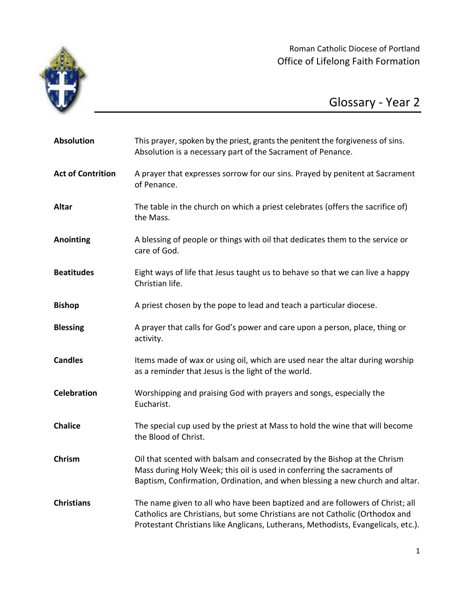

Roman Catholic Diocese of Portland Office of Lifelong Faith Formation

## Glossary - Year 2

| <b>Absolution</b>        | This prayer, spoken by the priest, grants the penitent the forgiveness of sins.<br>Absolution is a necessary part of the Sacrament of Penance.                                                                                                     |
|--------------------------|----------------------------------------------------------------------------------------------------------------------------------------------------------------------------------------------------------------------------------------------------|
| <b>Act of Contrition</b> | A prayer that expresses sorrow for our sins. Prayed by penitent at Sacrament<br>of Penance.                                                                                                                                                        |
| <b>Altar</b>             | The table in the church on which a priest celebrates (offers the sacrifice of)<br>the Mass.                                                                                                                                                        |
| <b>Anointing</b>         | A blessing of people or things with oil that dedicates them to the service or<br>care of God.                                                                                                                                                      |
| <b>Beatitudes</b>        | Eight ways of life that Jesus taught us to behave so that we can live a happy<br>Christian life.                                                                                                                                                   |
| <b>Bishop</b>            | A priest chosen by the pope to lead and teach a particular diocese.                                                                                                                                                                                |
| <b>Blessing</b>          | A prayer that calls for God's power and care upon a person, place, thing or<br>activity.                                                                                                                                                           |
| <b>Candles</b>           | Items made of wax or using oil, which are used near the altar during worship<br>as a reminder that Jesus is the light of the world.                                                                                                                |
| <b>Celebration</b>       | Worshipping and praising God with prayers and songs, especially the<br>Eucharist.                                                                                                                                                                  |
| <b>Chalice</b>           | The special cup used by the priest at Mass to hold the wine that will become<br>the Blood of Christ.                                                                                                                                               |
| Chrism                   | Oil that scented with balsam and consecrated by the Bishop at the Chrism<br>Mass during Holy Week; this oil is used in conferring the sacraments of<br>Baptism, Confirmation, Ordination, and when blessing a new church and altar.                |
| <b>Christians</b>        | The name given to all who have been baptized and are followers of Christ; all<br>Catholics are Christians, but some Christians are not Catholic (Orthodox and<br>Protestant Christians like Anglicans, Lutherans, Methodists, Evangelicals, etc.). |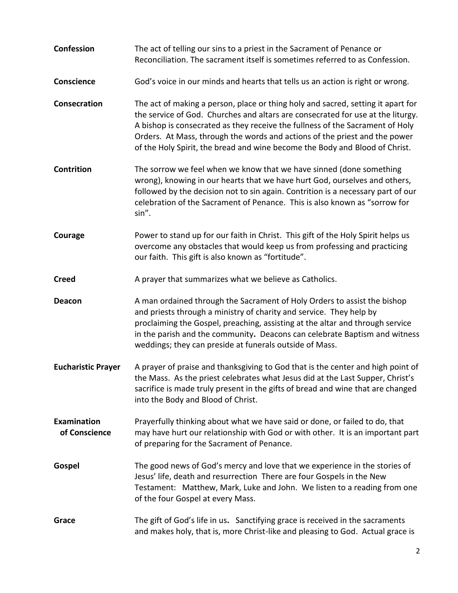**Confession** The act of telling our sins to a priest in the Sacrament of Penance or Reconciliation. The sacrament itself is sometimes referred to as Confession. **Conscience** God's voice in our minds and hearts that tells us an action is right or wrong. **Consecration** The act of making a person, place or thing holy and sacred, setting it apart for the service of God. Churches and altars are consecrated for use at the liturgy. A bishop is consecrated as they receive the fullness of the Sacrament of Holy Orders. At Mass, through the words and actions of the priest and the power of the Holy Spirit, the bread and wine become the Body and Blood of Christ. **Contrition** The sorrow we feel when we know that we have sinned (done something wrong), knowing in our hearts that we have hurt God, ourselves and others, followed by the decision not to sin again. Contrition is a necessary part of our celebration of the Sacrament of Penance. This is also known as "sorrow for sin". **Courage** Power to stand up for our faith in Christ. This gift of the Holy Spirit helps us overcome any obstacles that would keep us from professing and practicing our faith. This gift is also known as "fortitude". **Creed A** prayer that summarizes what we believe as Catholics. **Deacon** A man ordained through the Sacrament of Holy Orders to assist the bishop and priests through a ministry of charity and service. They help by proclaiming the Gospel, preaching, assisting at the altar and through service in the parish and the community**.** Deacons can celebrate Baptism and witness weddings; they can preside at funerals outside of Mass. **Eucharistic Prayer** A prayer of praise and thanksgiving to God that is the center and high point of the Mass. As the priest celebrates what Jesus did at the Last Supper, Christ's sacrifice is made truly present in the gifts of bread and wine that are changed into the Body and Blood of Christ. **Examination** Prayerfully thinking about what we have said or done, or failed to do, that **of Conscience** may have hurt our relationship with God or with other. It is an important part of preparing for the Sacrament of Penance. **Gospel** The good news of God's mercy and love that we experience in the stories of Jesus' life, death and resurrection There are four Gospels in the New Testament: Matthew, Mark, Luke and John. We listen to a reading from one of the four Gospel at every Mass. **Grace** The gift of God's life in us**.** Sanctifying grace is received in the sacraments and makes holy, that is, more Christ-like and pleasing to God. Actual grace is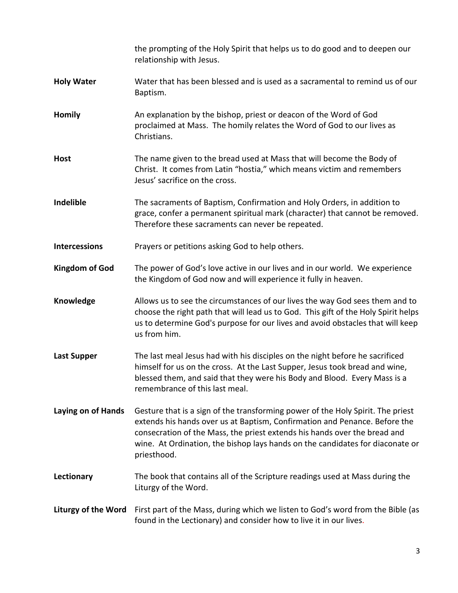|                            | the prompting of the Holy Spirit that helps us to do good and to deepen our<br>relationship with Jesus.                                                                                                                                                                                                                                    |
|----------------------------|--------------------------------------------------------------------------------------------------------------------------------------------------------------------------------------------------------------------------------------------------------------------------------------------------------------------------------------------|
| <b>Holy Water</b>          | Water that has been blessed and is used as a sacramental to remind us of our<br>Baptism.                                                                                                                                                                                                                                                   |
| <b>Homily</b>              | An explanation by the bishop, priest or deacon of the Word of God<br>proclaimed at Mass. The homily relates the Word of God to our lives as<br>Christians.                                                                                                                                                                                 |
| <b>Host</b>                | The name given to the bread used at Mass that will become the Body of<br>Christ. It comes from Latin "hostia," which means victim and remembers<br>Jesus' sacrifice on the cross.                                                                                                                                                          |
| Indelible                  | The sacraments of Baptism, Confirmation and Holy Orders, in addition to<br>grace, confer a permanent spiritual mark (character) that cannot be removed.<br>Therefore these sacraments can never be repeated.                                                                                                                               |
| <b>Intercessions</b>       | Prayers or petitions asking God to help others.                                                                                                                                                                                                                                                                                            |
| <b>Kingdom of God</b>      | The power of God's love active in our lives and in our world. We experience<br>the Kingdom of God now and will experience it fully in heaven.                                                                                                                                                                                              |
| Knowledge                  | Allows us to see the circumstances of our lives the way God sees them and to<br>choose the right path that will lead us to God. This gift of the Holy Spirit helps<br>us to determine God's purpose for our lives and avoid obstacles that will keep<br>us from him.                                                                       |
| <b>Last Supper</b>         | The last meal Jesus had with his disciples on the night before he sacrificed<br>himself for us on the cross. At the Last Supper, Jesus took bread and wine,<br>blessed them, and said that they were his Body and Blood. Every Mass is a<br>remembrance of this last meal.                                                                 |
| Laying on of Hands         | Gesture that is a sign of the transforming power of the Holy Spirit. The priest<br>extends his hands over us at Baptism, Confirmation and Penance. Before the<br>consecration of the Mass, the priest extends his hands over the bread and<br>wine. At Ordination, the bishop lays hands on the candidates for diaconate or<br>priesthood. |
| Lectionary                 | The book that contains all of the Scripture readings used at Mass during the<br>Liturgy of the Word.                                                                                                                                                                                                                                       |
| <b>Liturgy of the Word</b> | First part of the Mass, during which we listen to God's word from the Bible (as<br>found in the Lectionary) and consider how to live it in our lives.                                                                                                                                                                                      |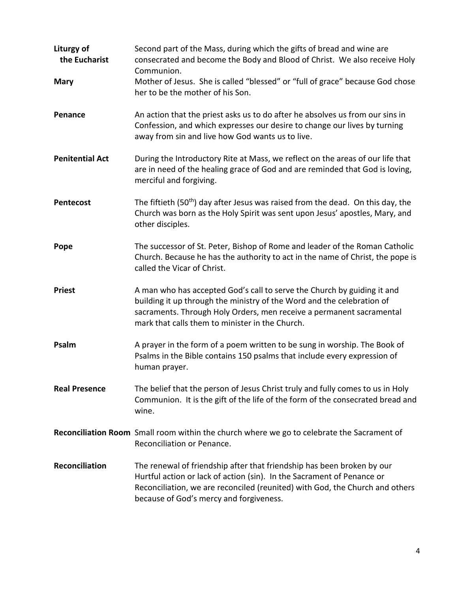| Liturgy of<br>the Eucharist | Second part of the Mass, during which the gifts of bread and wine are<br>consecrated and become the Body and Blood of Christ. We also receive Holy<br>Communion.                                                                                                             |
|-----------------------------|------------------------------------------------------------------------------------------------------------------------------------------------------------------------------------------------------------------------------------------------------------------------------|
| <b>Mary</b>                 | Mother of Jesus. She is called "blessed" or "full of grace" because God chose<br>her to be the mother of his Son.                                                                                                                                                            |
| Penance                     | An action that the priest asks us to do after he absolves us from our sins in<br>Confession, and which expresses our desire to change our lives by turning<br>away from sin and live how God wants us to live.                                                               |
| <b>Penitential Act</b>      | During the Introductory Rite at Mass, we reflect on the areas of our life that<br>are in need of the healing grace of God and are reminded that God is loving,<br>merciful and forgiving.                                                                                    |
| <b>Pentecost</b>            | The fiftieth (50 <sup>th</sup> ) day after Jesus was raised from the dead. On this day, the<br>Church was born as the Holy Spirit was sent upon Jesus' apostles, Mary, and<br>other disciples.                                                                               |
| Pope                        | The successor of St. Peter, Bishop of Rome and leader of the Roman Catholic<br>Church. Because he has the authority to act in the name of Christ, the pope is<br>called the Vicar of Christ.                                                                                 |
| <b>Priest</b>               | A man who has accepted God's call to serve the Church by guiding it and<br>building it up through the ministry of the Word and the celebration of<br>sacraments. Through Holy Orders, men receive a permanent sacramental<br>mark that calls them to minister in the Church. |
| Psalm                       | A prayer in the form of a poem written to be sung in worship. The Book of<br>Psalms in the Bible contains 150 psalms that include every expression of<br>human prayer.                                                                                                       |
| <b>Real Presence</b>        | The belief that the person of Jesus Christ truly and fully comes to us in Holy<br>Communion. It is the gift of the life of the form of the consecrated bread and<br>wine.                                                                                                    |
|                             | Reconciliation Room Small room within the church where we go to celebrate the Sacrament of<br>Reconciliation or Penance.                                                                                                                                                     |
| <b>Reconciliation</b>       | The renewal of friendship after that friendship has been broken by our<br>Hurtful action or lack of action (sin). In the Sacrament of Penance or<br>Reconciliation, we are reconciled (reunited) with God, the Church and others<br>because of God's mercy and forgiveness.  |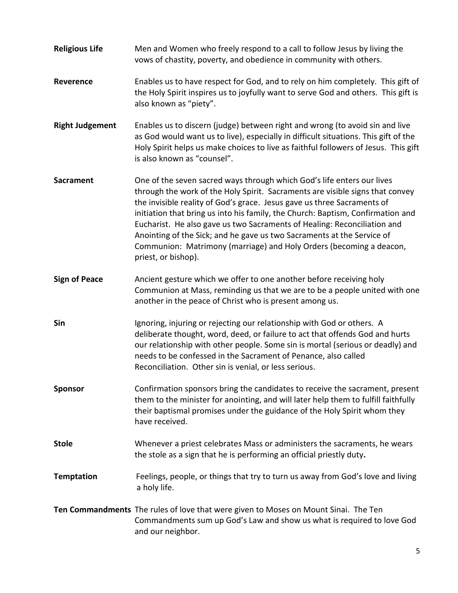**Religious Life** Men and Women who freely respond to a call to follow Jesus by living the vows of chastity, poverty, and obedience in community with others. **Reverence** Enables us to have respect for God, and to rely on him completely. This gift of the Holy Spirit inspires us to joyfully want to serve God and others. This gift is also known as "piety". **Right Judgement** Enables us to discern (judge) between right and wrong (to avoid sin and live as God would want us to live), especially in difficult situations. This gift of the Holy Spirit helps us make choices to live as faithful followers of Jesus. This gift is also known as "counsel". **Sacrament** One of the seven sacred ways through which God's life enters our lives through the work of the Holy Spirit. Sacraments are visible signs that convey the invisible reality of God's grace. Jesus gave us three Sacraments of initiation that bring us into his family, the Church: Baptism, Confirmation and Eucharist. He also gave us two Sacraments of Healing: Reconciliation and Anointing of the Sick; and he gave us two Sacraments at the Service of Communion: Matrimony (marriage) and Holy Orders (becoming a deacon, priest, or bishop). **Sign of Peace** Ancient gesture which we offer to one another before receiving holy Communion at Mass, reminding us that we are to be a people united with one another in the peace of Christ who is present among us. **Sin** Ignoring, injuring or rejecting our relationship with God or others. A deliberate thought, word, deed, or failure to act that offends God and hurts our relationship with other people. Some sin is mortal (serious or deadly) and needs to be confessed in the Sacrament of Penance, also called Reconciliation. Other sin is venial, or less serious. **Sponsor** Confirmation sponsors bring the candidates to receive the sacrament, present them to the minister for anointing, and will later help them to fulfill faithfully their baptismal promises under the guidance of the Holy Spirit whom they have received. **Stole** Whenever a priest celebrates Mass or administers the sacraments, he wears the stole as a sign that he is performing an official priestly duty**. Temptation** Feelings, people, or things that try to turn us away from God's love and living a holy life. **Ten Commandments** The rules of love that were given to Moses on Mount Sinai. The Ten Commandments sum up God's Law and show us what is required to love God and our neighbor.